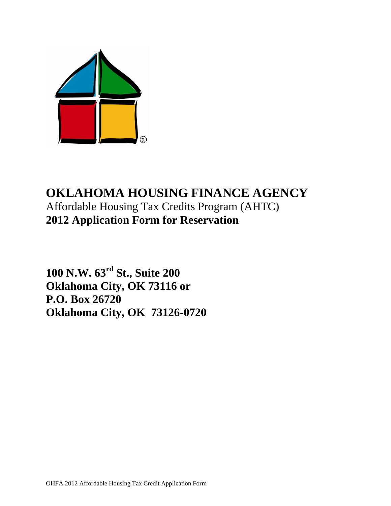

# **OKLAHOMA HOUSING FINANCE AGENCY** Affordable Housing Tax Credits Program (AHTC) **2012 Application Form for Reservation**

**100 N.W. 63rd St., Suite 200 Oklahoma City, OK 73116 or P.O. Box 26720 Oklahoma City, OK 73126-0720**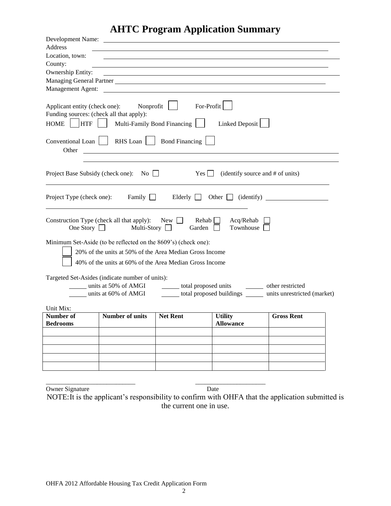## **AHTC Program Application Summary**

| Address                                                                                                                                                                                                                                                                                                                                                                                                                                                                             |                                                                                                                                             |                                                                      |                                  |                                |  |
|-------------------------------------------------------------------------------------------------------------------------------------------------------------------------------------------------------------------------------------------------------------------------------------------------------------------------------------------------------------------------------------------------------------------------------------------------------------------------------------|---------------------------------------------------------------------------------------------------------------------------------------------|----------------------------------------------------------------------|----------------------------------|--------------------------------|--|
| Location, town:                                                                                                                                                                                                                                                                                                                                                                                                                                                                     |                                                                                                                                             |                                                                      |                                  |                                |  |
| County:                                                                                                                                                                                                                                                                                                                                                                                                                                                                             |                                                                                                                                             |                                                                      |                                  |                                |  |
| Ownership Entity:                                                                                                                                                                                                                                                                                                                                                                                                                                                                   |                                                                                                                                             | <u> 1989 - Johann Stein, fransk politik (d. 1989)</u>                |                                  |                                |  |
|                                                                                                                                                                                                                                                                                                                                                                                                                                                                                     |                                                                                                                                             | Managing General Partner                                             |                                  |                                |  |
|                                                                                                                                                                                                                                                                                                                                                                                                                                                                                     |                                                                                                                                             |                                                                      |                                  |                                |  |
| For-Profit<br>Applicant entity (check one): Nonprofit<br>Funding sources: (check all that apply):<br>$HOME$   $HTF$    <br>Linked Deposit<br>Multi-Family Bond Financing<br>$Conventional Loan$ $ $<br>RHS Loan     Bond Financing<br>Other<br><u>state and the state of the state of the state of the state of the state of the state of the state of the state of the state of the state of the state of the state of the state of the state of the state of the state of the</u> |                                                                                                                                             |                                                                      |                                  |                                |  |
|                                                                                                                                                                                                                                                                                                                                                                                                                                                                                     |                                                                                                                                             |                                                                      |                                  |                                |  |
|                                                                                                                                                                                                                                                                                                                                                                                                                                                                                     | Project Base Subsidy (check one): No □                                                                                                      | Yes                                                                  | (identify source and # of units) |                                |  |
|                                                                                                                                                                                                                                                                                                                                                                                                                                                                                     | Project Type (check one): Family $\Box$                                                                                                     | Elderly $\Box$                                                       |                                  | Other $\Box$ (identify) $\Box$ |  |
|                                                                                                                                                                                                                                                                                                                                                                                                                                                                                     | Construction Type (check all that apply):<br>New<br>Acq/Rehab<br>Rehab<br>Townhouse<br>One Story $\Box$ Multi-Story $\Box$<br>Garden $\Box$ |                                                                      |                                  |                                |  |
|                                                                                                                                                                                                                                                                                                                                                                                                                                                                                     | Minimum Set-Aside (to be reflected on the 8609's) (check one):                                                                              |                                                                      |                                  |                                |  |
|                                                                                                                                                                                                                                                                                                                                                                                                                                                                                     |                                                                                                                                             | 20% of the units at 50% of the Area Median Gross Income              |                                  |                                |  |
|                                                                                                                                                                                                                                                                                                                                                                                                                                                                                     |                                                                                                                                             |                                                                      |                                  |                                |  |
|                                                                                                                                                                                                                                                                                                                                                                                                                                                                                     |                                                                                                                                             | 40% of the units at 60% of the Area Median Gross Income              |                                  |                                |  |
|                                                                                                                                                                                                                                                                                                                                                                                                                                                                                     | Targeted Set-Asides (indicate number of units):                                                                                             |                                                                      |                                  |                                |  |
|                                                                                                                                                                                                                                                                                                                                                                                                                                                                                     |                                                                                                                                             | units at 50% of AMGI botal proposed units compared to the restricted |                                  |                                |  |
|                                                                                                                                                                                                                                                                                                                                                                                                                                                                                     |                                                                                                                                             |                                                                      |                                  |                                |  |
| total proposed buildings ______ units unrestricted (market)<br>units at 60% of AMGI                                                                                                                                                                                                                                                                                                                                                                                                 |                                                                                                                                             |                                                                      |                                  |                                |  |
| Unit Mix:                                                                                                                                                                                                                                                                                                                                                                                                                                                                           |                                                                                                                                             |                                                                      |                                  |                                |  |
| <b>Number of units</b><br><b>Net Rent</b><br><b>Gross Rent</b><br>Number of<br><b>Utility</b>                                                                                                                                                                                                                                                                                                                                                                                       |                                                                                                                                             |                                                                      |                                  |                                |  |
| <b>Bedrooms</b>                                                                                                                                                                                                                                                                                                                                                                                                                                                                     |                                                                                                                                             |                                                                      | <b>Allowance</b>                 |                                |  |
|                                                                                                                                                                                                                                                                                                                                                                                                                                                                                     |                                                                                                                                             |                                                                      |                                  |                                |  |
|                                                                                                                                                                                                                                                                                                                                                                                                                                                                                     |                                                                                                                                             |                                                                      |                                  |                                |  |
|                                                                                                                                                                                                                                                                                                                                                                                                                                                                                     |                                                                                                                                             |                                                                      |                                  |                                |  |
|                                                                                                                                                                                                                                                                                                                                                                                                                                                                                     |                                                                                                                                             |                                                                      |                                  |                                |  |
|                                                                                                                                                                                                                                                                                                                                                                                                                                                                                     |                                                                                                                                             |                                                                      |                                  |                                |  |
|                                                                                                                                                                                                                                                                                                                                                                                                                                                                                     |                                                                                                                                             |                                                                      |                                  |                                |  |
|                                                                                                                                                                                                                                                                                                                                                                                                                                                                                     |                                                                                                                                             |                                                                      |                                  |                                |  |

Owner Signature Date NOTE:It is the applicant's responsibility to confirm with OHFA that the application submitted is the current one in use.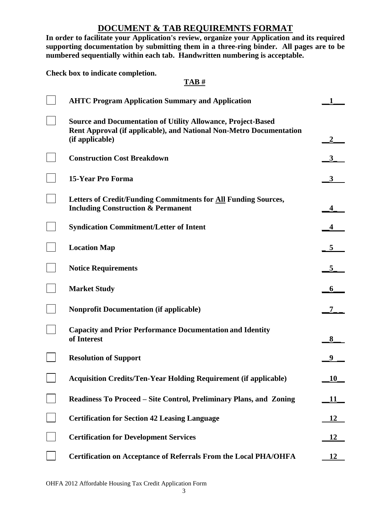## **DOCUMENT & TAB REQUIREMNTS FORMAT**

**In order to facilitate your Application's review, organize your Application and its required supporting documentation by submitting them in a three-ring binder. All pages are to be numbered sequentially within each tab. Handwritten numbering is acceptable.** 

**Check box to indicate completion.**

## **TAB #**

| <b>AHTC Program Application Summary and Application</b>                                                                                                              |           |
|----------------------------------------------------------------------------------------------------------------------------------------------------------------------|-----------|
| <b>Source and Documentation of Utility Allowance, Project-Based</b><br><b>Rent Approval (if applicable), and National Non-Metro Documentation</b><br>(if applicable) |           |
| <b>Construction Cost Breakdown</b>                                                                                                                                   |           |
| <b>15-Year Pro Forma</b>                                                                                                                                             | 3         |
| Letters of Credit/Funding Commitments for All Funding Sources,<br><b>Including Construction &amp; Permanent</b>                                                      |           |
| <b>Syndication Commitment/Letter of Intent</b>                                                                                                                       |           |
| <b>Location Map</b>                                                                                                                                                  | 5         |
| <b>Notice Requirements</b>                                                                                                                                           |           |
| <b>Market Study</b>                                                                                                                                                  |           |
| <b>Nonprofit Documentation (if applicable)</b>                                                                                                                       |           |
| <b>Capacity and Prior Performance Documentation and Identity</b><br>of Interest                                                                                      | 8         |
| <b>Resolution of Support</b>                                                                                                                                         |           |
| <b>Acquisition Credits/Ten-Year Holding Requirement (if applicable)</b>                                                                                              | 10        |
| Readiness To Proceed – Site Control, Preliminary Plans, and Zoning                                                                                                   | <u>11</u> |
| <b>Certification for Section 42 Leasing Language</b>                                                                                                                 | 12        |
| <b>Certification for Development Services</b>                                                                                                                        | 12        |
| <b>Certification on Acceptance of Referrals From the Local PHA/OHFA</b>                                                                                              | 12        |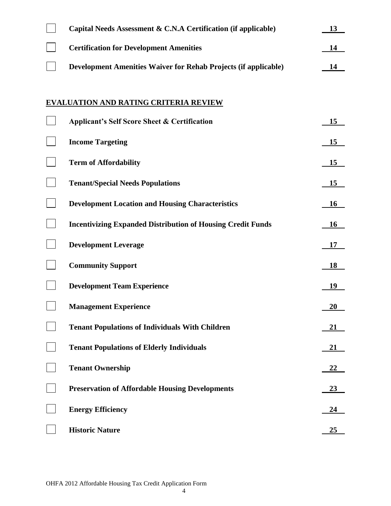| Capital Needs Assessment & C.N.A Certification (if applicable)         | 13        |
|------------------------------------------------------------------------|-----------|
| <b>Certification for Development Amenities</b>                         | 14        |
| <b>Development Amenities Waiver for Rehab Projects (if applicable)</b> | 14        |
|                                                                        |           |
| <b>EVALUATION AND RATING CRITERIA REVIEW</b>                           |           |
| <b>Applicant's Self Score Sheet &amp; Certification</b>                | 15        |
| <b>Income Targeting</b>                                                | 15        |
| <b>Term of Affordability</b>                                           | 15        |
| <b>Tenant/Special Needs Populations</b>                                | 15        |
| <b>Development Location and Housing Characteristics</b>                | <u>16</u> |
| <b>Incentivizing Expanded Distribution of Housing Credit Funds</b>     | <b>16</b> |
| <b>Development Leverage</b>                                            | <b>17</b> |
| <b>Community Support</b>                                               | 18        |
| <b>Development Team Experience</b>                                     | 19        |
| <b>Management Experience</b>                                           | 20        |
| <b>Tenant Populations of Individuals With Children</b>                 | 21        |
| <b>Tenant Populations of Elderly Individuals</b>                       | <u>21</u> |
| <b>Tenant Ownership</b>                                                | 22        |
| <b>Preservation of Affordable Housing Developments</b>                 | 23        |
| <b>Energy Efficiency</b>                                               | 24        |
| <b>Historic Nature</b>                                                 | 25        |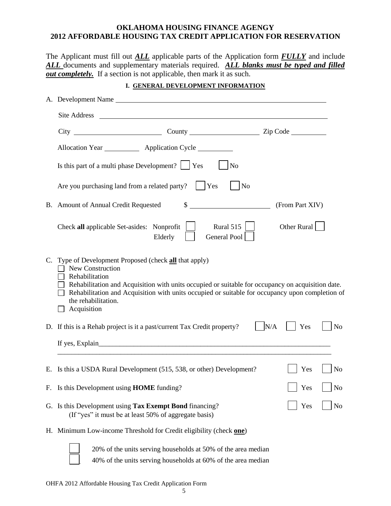## **OKLAHOMA HOUSING FINANCE AGENGY 2012 AFFORDABLE HOUSING TAX CREDIT APPLICATION FOR RESERVATION**

The Applicant must fill out *ALL* applicable parts of the Application form *FULLY* and include *ALL* documents and supplementary materials required. *ALL blanks must be typed and filled out completely.* If a section is not applicable, then mark it as such.

#### **I. GENERAL DEVELOPMENT INFORMATION**

|    | A. Development Name                                                                                                                                                                                                                                                                                                                     |                              |  |  |  |
|----|-----------------------------------------------------------------------------------------------------------------------------------------------------------------------------------------------------------------------------------------------------------------------------------------------------------------------------------------|------------------------------|--|--|--|
|    |                                                                                                                                                                                                                                                                                                                                         |                              |  |  |  |
|    |                                                                                                                                                                                                                                                                                                                                         |                              |  |  |  |
|    | Allocation Year ____________ Application Cycle _________                                                                                                                                                                                                                                                                                |                              |  |  |  |
|    | Is this part of a multi phase Development? $\vert \vert$ Yes<br>N <sub>o</sub>                                                                                                                                                                                                                                                          |                              |  |  |  |
|    | Are you purchasing land from a related party?<br>Yes<br>N <sub>o</sub>                                                                                                                                                                                                                                                                  |                              |  |  |  |
|    | $\sim$<br>B. Amount of Annual Credit Requested                                                                                                                                                                                                                                                                                          | (From Part XIV)              |  |  |  |
|    | Rural $515$<br>Check all applicable Set-asides: Nonprofit<br>General Pool<br>Elderly                                                                                                                                                                                                                                                    | Other Rural                  |  |  |  |
| C. | Type of Development Proposed (check all that apply)<br>New Construction<br>Rehabilitation<br>Rehabilitation and Acquisition with units occupied or suitable for occupancy on acquisition date.<br>Rehabilitation and Acquisition with units occupied or suitable for occupancy upon completion of<br>the rehabilitation.<br>Acquisition |                              |  |  |  |
|    | D. If this is a Rehab project is it a past/current Tax Credit property?                                                                                                                                                                                                                                                                 | N/A<br>Yes<br>N <sub>o</sub> |  |  |  |
|    |                                                                                                                                                                                                                                                                                                                                         |                              |  |  |  |
|    | E. Is this a USDA Rural Development (515, 538, or other) Development?                                                                                                                                                                                                                                                                   | Yes<br>N <sub>o</sub>        |  |  |  |
|    | F. Is this Development using <b>HOME</b> funding?                                                                                                                                                                                                                                                                                       | Yes<br>No                    |  |  |  |
|    | G. Is this Development using Tax Exempt Bond financing?<br>(If "yes" it must be at least 50% of aggregate basis)                                                                                                                                                                                                                        | Yes<br>N <sub>o</sub>        |  |  |  |
|    | H. Minimum Low-income Threshold for Credit eligibility (check one)                                                                                                                                                                                                                                                                      |                              |  |  |  |
|    | 20% of the units serving households at 50% of the area median<br>40% of the units serving households at 60% of the area median                                                                                                                                                                                                          |                              |  |  |  |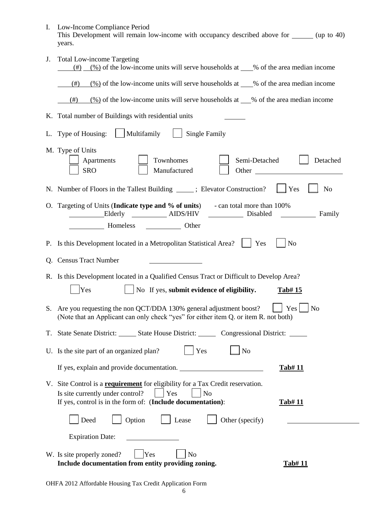| I. Low-Income Compliance Period                                                                 |
|-------------------------------------------------------------------------------------------------|
| This Development will remain low-income with occupancy described above for ______<br>(up to 40) |
| years.                                                                                          |

| J. | <b>Total Low-income Targeting</b><br>$\frac{(\%)}{(\%)}$ of the low-income units will serve households at ___% of the area median income<br>(# )                                                                                                         |  |  |
|----|----------------------------------------------------------------------------------------------------------------------------------------------------------------------------------------------------------------------------------------------------------|--|--|
|    | $\frac{(\%)}{(\%)}$ of the low-income units will serve households at ___% of the area median income<br>(# )                                                                                                                                              |  |  |
|    | $\frac{(\%)}{(\%)}$ of the low-income units will serve households at __% of the area median income<br>(#)                                                                                                                                                |  |  |
|    | K. Total number of Buildings with residential units                                                                                                                                                                                                      |  |  |
|    | Multifamily<br><b>Single Family</b><br>L. Type of Housing:                                                                                                                                                                                               |  |  |
|    | M. Type of Units<br>Townhomes<br>Detached<br>Semi-Detached<br>Apartments<br><b>SRO</b><br>Manufactured<br>Other                                                                                                                                          |  |  |
|    | N. Number of Floors in the Tallest Building _____; Elevator Construction?<br>Yes<br>No                                                                                                                                                                   |  |  |
|    | O. Targeting of Units (Indicate type and % of units) - can total more than 100%<br>Elderly<br>Family<br>$\label{eq:2} \begin{split} \mathcal{L}_{\text{max}}(\mathcal{L}_{\text{max}}) = \mathcal{L}_{\text{max}}(\mathcal{L}_{\text{max}}) \end{split}$ |  |  |
|    | No<br>P. Is this Development located in a Metropolitan Statistical Area?<br>Yes                                                                                                                                                                          |  |  |
|    | Q. Census Tract Number                                                                                                                                                                                                                                   |  |  |
|    | R. Is this Development located in a Qualified Census Tract or Difficult to Develop Area?<br>No If yes, submit evidence of eligibility.<br>Yes<br>Tab#15                                                                                                  |  |  |
|    | S. Are you requesting the non QCT/DDA 130% general adjustment boost?<br>Yes<br><b>No</b><br>(Note that an Applicant can only check "yes" for either item Q. or item R. not both)                                                                         |  |  |
|    | T. State Senate District: ________ State House District: _________ Congressional District: ______                                                                                                                                                        |  |  |
|    | U. Is the site part of an organized plan?<br>Yes<br>No                                                                                                                                                                                                   |  |  |
|    | If yes, explain and provide documentation.<br><b>Tab#11</b>                                                                                                                                                                                              |  |  |
|    | V. Site Control is a <b>requirement</b> for eligibility for a Tax Credit reservation.<br>Is site currently under control?<br>Yes<br>N <sub>o</sub><br>If yes, control is in the form of: (Include documentation):<br><u>Tab# 11</u>                      |  |  |
|    | Option<br>Deed<br>Lease<br>Other (specify)                                                                                                                                                                                                               |  |  |
|    | <b>Expiration Date:</b>                                                                                                                                                                                                                                  |  |  |
|    | W. Is site properly zoned?<br>Yes<br>No<br>Include documentation from entity providing zoning.<br><u>Tab# 11</u>                                                                                                                                         |  |  |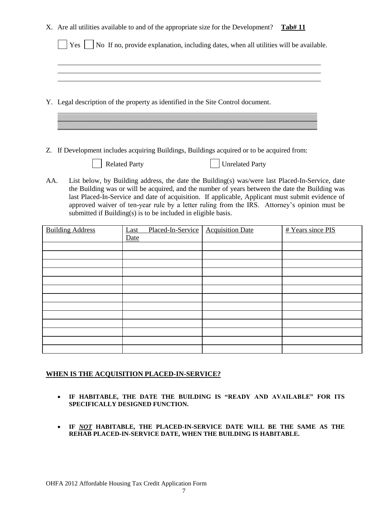|     |                         | X. Are all utilities available to and of the appropriate size for the Development? |                                                                                                                                                                                                                                                                                                                                                                                                        | Tab#11            |
|-----|-------------------------|------------------------------------------------------------------------------------|--------------------------------------------------------------------------------------------------------------------------------------------------------------------------------------------------------------------------------------------------------------------------------------------------------------------------------------------------------------------------------------------------------|-------------------|
|     |                         |                                                                                    | Yes     No If no, provide explanation, including dates, when all utilities will be available.                                                                                                                                                                                                                                                                                                          |                   |
|     |                         |                                                                                    |                                                                                                                                                                                                                                                                                                                                                                                                        |                   |
|     |                         | Y. Legal description of the property as identified in the Site Control document.   |                                                                                                                                                                                                                                                                                                                                                                                                        |                   |
|     |                         |                                                                                    |                                                                                                                                                                                                                                                                                                                                                                                                        |                   |
|     |                         | <b>Related Party</b>                                                               | Z. If Development includes acquiring Buildings, Buildings acquired or to be acquired from:<br><b>Unrelated Party</b>                                                                                                                                                                                                                                                                                   |                   |
| AA. |                         | submitted if Building(s) is to be included in eligible basis.                      | List below, by Building address, the date the Building(s) was/were last Placed-In-Service, date<br>the Building was or will be acquired, and the number of years between the date the Building was<br>last Placed-In-Service and date of acquisition. If applicable, Applicant must submit evidence of<br>approved waiver of ten-year rule by a letter ruling from the IRS. Attorney's opinion must be |                   |
|     | <b>Building Address</b> | Placed-In-Service<br>Last<br>Date                                                  | <b>Acquisition Date</b>                                                                                                                                                                                                                                                                                                                                                                                | # Years since PIS |
|     |                         |                                                                                    |                                                                                                                                                                                                                                                                                                                                                                                                        |                   |
|     |                         |                                                                                    |                                                                                                                                                                                                                                                                                                                                                                                                        |                   |
|     |                         |                                                                                    |                                                                                                                                                                                                                                                                                                                                                                                                        |                   |
|     |                         |                                                                                    |                                                                                                                                                                                                                                                                                                                                                                                                        |                   |
|     |                         |                                                                                    |                                                                                                                                                                                                                                                                                                                                                                                                        |                   |
|     |                         |                                                                                    |                                                                                                                                                                                                                                                                                                                                                                                                        |                   |
|     |                         |                                                                                    |                                                                                                                                                                                                                                                                                                                                                                                                        |                   |
|     |                         |                                                                                    |                                                                                                                                                                                                                                                                                                                                                                                                        |                   |
|     |                         |                                                                                    |                                                                                                                                                                                                                                                                                                                                                                                                        |                   |
|     |                         |                                                                                    |                                                                                                                                                                                                                                                                                                                                                                                                        |                   |
|     |                         |                                                                                    |                                                                                                                                                                                                                                                                                                                                                                                                        |                   |

## **WHEN IS THE ACQUISITION PLACED-IN-SERVICE?**

- **IF HABITABLE, THE DATE THE BUILDING IS "READY AND AVAILABLE" FOR ITS SPECIFICALLY DESIGNED FUNCTION.**
- **IF** *NOT* **HABITABLE, THE PLACED-IN-SERVICE DATE WILL BE THE SAME AS THE REHAB PLACED-IN-SERVICE DATE, WHEN THE BUILDING IS HABITABLE.**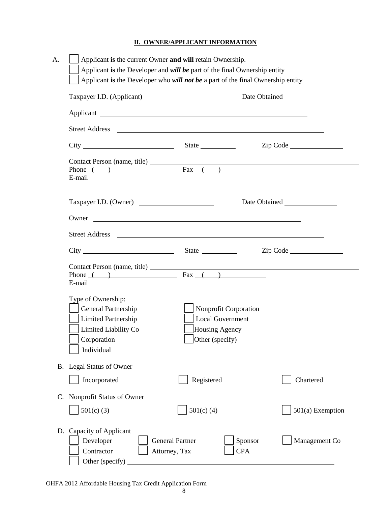## **II. OWNER/APPLICANT INFORMATION**

| Street Address <u>and a street of the street and the street and the street and the street and the street and the street and the street and the street and the street and the street and the street and the street and the street</u> |                                                                                              |                                                           |
|--------------------------------------------------------------------------------------------------------------------------------------------------------------------------------------------------------------------------------------|----------------------------------------------------------------------------------------------|-----------------------------------------------------------|
|                                                                                                                                                                                                                                      |                                                                                              | $\mathsf{Zip} \ \mathsf{Code} \ \underline{\hspace{2cm}}$ |
| Phone $($ ) Fax $($ )<br>E-mail Learner and Learner and Learner and Learner and Learner and Learner and Learner and Learner and Learner                                                                                              |                                                                                              |                                                           |
| Taxpayer I.D. (Owner)                                                                                                                                                                                                                |                                                                                              |                                                           |
|                                                                                                                                                                                                                                      |                                                                                              |                                                           |
|                                                                                                                                                                                                                                      |                                                                                              |                                                           |
|                                                                                                                                                                                                                                      |                                                                                              | $\mathsf{Zip} \ \mathsf{Code} \ \underline{\hspace{2cm}}$ |
| Contact Person (name, title) Fax ()                                                                                                                                                                                                  |                                                                                              |                                                           |
| Type of Ownership:<br>General Partnership<br><b>Limited Partnership</b><br>Limited Liability Co<br>Corporation<br>Individual                                                                                                         | Nonprofit Corporation<br><b>Local Government</b><br>Housing Agency<br>$\Box$ Other (specify) |                                                           |
| <b>Legal Status of Owner</b>                                                                                                                                                                                                         |                                                                                              |                                                           |
| Incorporated                                                                                                                                                                                                                         | Registered                                                                                   | Chartered                                                 |
| Nonprofit Status of Owner                                                                                                                                                                                                            |                                                                                              |                                                           |
|                                                                                                                                                                                                                                      | $501(c)$ (4)                                                                                 | 501(a) Exemption                                          |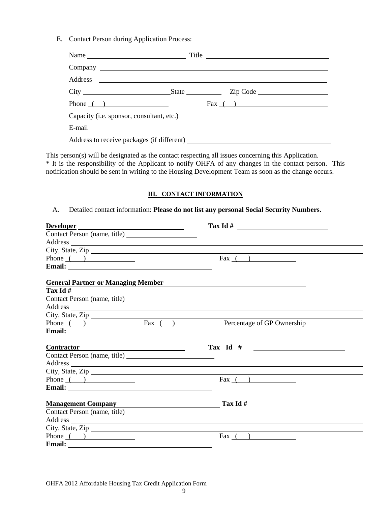E. Contact Person during Application Process:

| Name            |  | Title            |
|-----------------|--|------------------|
|                 |  |                  |
|                 |  |                  |
|                 |  |                  |
| Phone $\qquad)$ |  | $\text{Fax}$ ( ) |
|                 |  |                  |
|                 |  |                  |
|                 |  |                  |

This person(s) will be designated as the contact respecting all issues concerning this Application. \* It is the responsibility of the Applicant to notify OHFA of any changes in the contact person. This notification should be sent in writing to the Housing Development Team as soon as the change occurs.

#### **III. CONTACT INFORMATION**

#### A. Detailed contact information: **Please do not list any personal Social Security Numbers.**

|                                                                                                                                                                                                                                | Tax Id $\#$      |
|--------------------------------------------------------------------------------------------------------------------------------------------------------------------------------------------------------------------------------|------------------|
|                                                                                                                                                                                                                                |                  |
| Address and the contract of the contract of the contract of the contract of the contract of the contract of the contract of the contract of the contract of the contract of the contract of the contract of the contract of th |                  |
| City, State, Zip                                                                                                                                                                                                               |                  |
| Phone $($ $)$                                                                                                                                                                                                                  | $\text{Fax}$ ( ) |
|                                                                                                                                                                                                                                |                  |
| <b>General Partner or Managing Member</b>                                                                                                                                                                                      |                  |
|                                                                                                                                                                                                                                |                  |
|                                                                                                                                                                                                                                |                  |
|                                                                                                                                                                                                                                |                  |
| City, State, Zip                                                                                                                                                                                                               |                  |
| Phone ( ) Fax ( ) Percentage of GP Ownership                                                                                                                                                                                   |                  |
|                                                                                                                                                                                                                                |                  |
|                                                                                                                                                                                                                                |                  |
| Contractor                                                                                                                                                                                                                     |                  |
|                                                                                                                                                                                                                                |                  |
| Address and the contract of the contract of the contract of the contract of the contract of the contract of the contract of the contract of the contract of the contract of the contract of the contract of the contract of th |                  |
| City, State, Zip                                                                                                                                                                                                               |                  |
| Phone $($ $)$                                                                                                                                                                                                                  | Fax $($ $)$      |
|                                                                                                                                                                                                                                |                  |
| Management Company Tax Id #                                                                                                                                                                                                    |                  |
|                                                                                                                                                                                                                                |                  |
| Address                                                                                                                                                                                                                        |                  |
| City, State, Zip                                                                                                                                                                                                               |                  |
| Phone $($ $)$                                                                                                                                                                                                                  | Fax $($ $)$      |
|                                                                                                                                                                                                                                |                  |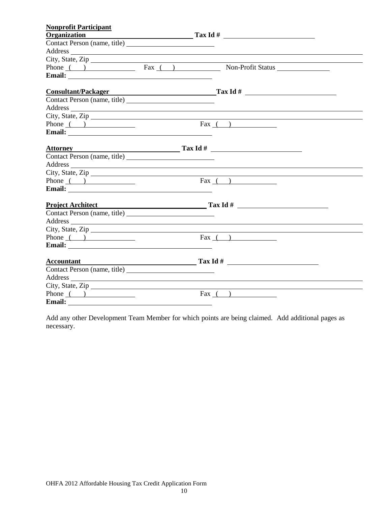| <b>Nonprofit Participant</b> |                                                                                                                                                                                                                                                                               |  |
|------------------------------|-------------------------------------------------------------------------------------------------------------------------------------------------------------------------------------------------------------------------------------------------------------------------------|--|
| <b>Organization</b>          | $\frac{1}{2}$ Tax Id # $\frac{1}{2}$ Tax Id # $\frac{1}{2}$ Tax Id # $\frac{1}{2}$ Tax Id # $\frac{1}{2}$ Tax Id # $\frac{1}{2}$ Tax Id # $\frac{1}{2}$ Tax Id # $\frac{1}{2}$ Tax Id # $\frac{1}{2}$ Tax Id # $\frac{1}{2}$ Tax Id # $\frac{1}{2}$ Tax Id # $\frac{1}{2}$ Ta |  |
|                              |                                                                                                                                                                                                                                                                               |  |
|                              | Address and the contract of the contract of the contract of the contract of the contract of the contract of the contract of the contract of the contract of the contract of the contract of the contract of the contract of th                                                |  |
| City, State, Zip             |                                                                                                                                                                                                                                                                               |  |
|                              | Phone ( ) Fax ( ) Non-Profit Status Non-Profit Status                                                                                                                                                                                                                         |  |
|                              |                                                                                                                                                                                                                                                                               |  |
|                              | Consultant/Packager Tax Id #                                                                                                                                                                                                                                                  |  |
|                              |                                                                                                                                                                                                                                                                               |  |
|                              | Address                                                                                                                                                                                                                                                                       |  |
|                              | City, State, Zip                                                                                                                                                                                                                                                              |  |
| Phone $\qquad)$              | $\begin{tabular}{ c c } \hline \quad \quad & \quad \quad & \quad \quad \\ \hline \quad \quad & \quad \quad & \quad \quad \\ \hline \end{tabular}$                                                                                                                             |  |
|                              |                                                                                                                                                                                                                                                                               |  |
| Attor <u>ney</u>             | $\frac{1}{2}$ Tax Id # $\frac{1}{2}$ Tax Id # $\frac{1}{2}$ Tax Id # $\frac{1}{2}$ Tax Id # $\frac{1}{2}$ Tax Id # $\frac{1}{2}$ Tax Id # $\frac{1}{2}$ Tax Id # $\frac{1}{2}$ Tax Id # $\frac{1}{2}$ Tax Id # $\frac{1}{2}$ Tax Id # $\frac{1}{2}$ Tax Id # $\frac{1}{2}$ Ta |  |
| Contact Person (name, title) |                                                                                                                                                                                                                                                                               |  |
|                              | Address and the contract of the contract of the contract of the contract of the contract of the contract of the contract of the contract of the contract of the contract of the contract of the contract of the contract of th                                                |  |
|                              | City, State, Zip                                                                                                                                                                                                                                                              |  |
| Phone $($ $)$                | $\text{Fax}$ ( )                                                                                                                                                                                                                                                              |  |
|                              |                                                                                                                                                                                                                                                                               |  |
|                              | Project Architect Trax Id #                                                                                                                                                                                                                                                   |  |
|                              |                                                                                                                                                                                                                                                                               |  |
|                              | Address and the contract of the contract of the contract of the contract of the contract of the contract of the contract of the contract of the contract of the contract of the contract of the contract of the contract of th                                                |  |
|                              | City, State, Zip                                                                                                                                                                                                                                                              |  |
| Phone $\qquad)$              | $\text{Fax}$ ( )                                                                                                                                                                                                                                                              |  |
|                              |                                                                                                                                                                                                                                                                               |  |
| <b>Accountant</b>            | $\frac{1}{2}$ Tax Id $\#$                                                                                                                                                                                                                                                     |  |
|                              |                                                                                                                                                                                                                                                                               |  |
|                              | Address and the contract of the contract of the contract of the contract of the contract of the contract of the contract of the contract of the contract of the contract of the contract of the contract of the contract of th                                                |  |
| City, State, Zip             |                                                                                                                                                                                                                                                                               |  |
| Phone $\qquad)$              | Fax $( )$                                                                                                                                                                                                                                                                     |  |
| Email:                       |                                                                                                                                                                                                                                                                               |  |

Add any other Development Team Member for which points are being claimed. Add additional pages as necessary.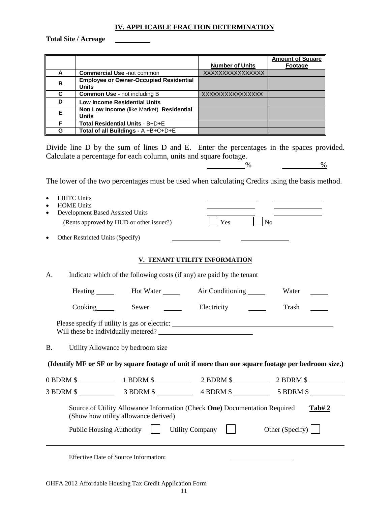#### **IV. APPLICABLE FRACTION DETERMINATION**

**Total Site / Acreage**

|   |                                                               | <b>Number of Units</b> | <b>Amount of Square</b><br>Footage |
|---|---------------------------------------------------------------|------------------------|------------------------------------|
| A | <b>Commercial Use -not common</b>                             | XXXXXXXXXXXXXXXX       |                                    |
| в | <b>Employee or Owner-Occupied Residential</b><br><b>Units</b> |                        |                                    |
| C | <b>Common Use - not including B</b>                           | XXXXXXXXXXXXXXXX       |                                    |
| D | <b>Low Income Residential Units</b>                           |                        |                                    |
| Е | Non Low Income (like Market) Residential<br><b>Units</b>      |                        |                                    |
| F | Total Residential Units - B+D+E                               |                        |                                    |
| G | Total of all Buildings - A +B+C+D+E                           |                        |                                    |

Divide line D by the sum of lines D and E. Enter the percentages in the spaces provided. Calculate a percentage for each column, units and square footage.

 $\frac{9}{6}$   $\frac{9}{6}$ 

The lower of the two percentages must be used when calculating Credits using the basis method.

- LIHTC Units
- HOME Units

| Development Based Assisted Units         |                                          |  |
|------------------------------------------|------------------------------------------|--|
| (Rents approved by HUD or other issuer?) | $ $   Yes<br>$\overline{\phantom{a}}$ No |  |

• Other Restricted Units (Specify)

#### **V. TENANT UTILITY INFORMATION**

| A.                                                                                                                                  | Indicate which of the following costs (if any) are paid by the tenant                                                    |                              |                                                                                                    |                         |  |  |
|-------------------------------------------------------------------------------------------------------------------------------------|--------------------------------------------------------------------------------------------------------------------------|------------------------------|----------------------------------------------------------------------------------------------------|-------------------------|--|--|
|                                                                                                                                     |                                                                                                                          |                              | Heating _______ Hot Water ______ Air Conditioning ______                                           | Water                   |  |  |
|                                                                                                                                     | $\frac{1}{2}$ Cooking                                                                                                    | Sewer $\qquad \qquad \qquad$ | Electricity                                                                                        | Trash                   |  |  |
|                                                                                                                                     | Please specify if utility is gas or electric: ___________________________________<br>Will these be individually metered? |                              |                                                                                                    |                         |  |  |
| B.                                                                                                                                  | Utility Allowance by bedroom size                                                                                        |                              |                                                                                                    |                         |  |  |
|                                                                                                                                     |                                                                                                                          |                              | (Identify MF or SF or by square footage of unit if more than one square footage per bedroom size.) |                         |  |  |
|                                                                                                                                     |                                                                                                                          |                              | 0 BDRM \$ 1 BDRM \$ 2 BDRM \$ 2 BDRM \$ 2 BDRM \$                                                  |                         |  |  |
|                                                                                                                                     |                                                                                                                          |                              | 3 BDRM \$ 3 BDRM \$ 4 BDRM \$ 5 BDRM \$                                                            |                         |  |  |
| Source of Utility Allowance Information (Check <b>One</b> ) Documentation Required<br>Tab#2<br>(Show how utility allowance derived) |                                                                                                                          |                              |                                                                                                    |                         |  |  |
|                                                                                                                                     | <b>Public Housing Authority</b>                                                                                          |                              | Utility Company                                                                                    | Other (Specify) $\vert$ |  |  |
|                                                                                                                                     |                                                                                                                          |                              |                                                                                                    |                         |  |  |

Effective Date of Source Information: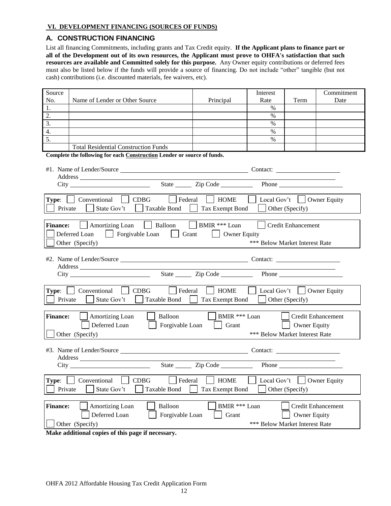#### **VI. DEVELOPMENT FINANCING (SOURCES OF FUNDS)**

#### **A. CONSTRUCTION FINANCING**

List all financing Commitments, including grants and Tax Credit equity. **If the Applicant plans to finance part or all of the Development out of its own resources, the Applicant must prove to OHFA's satisfaction that such resources are available and Committed solely for this purpose.** Any Owner equity contributions or deferred fees must also be listed below if the funds will provide a source of financing. Do not include "other" tangible (but not cash) contributions (i.e. discounted materials, fee waivers, etc).

| Source           |                                                                         |                       | Interest                                 |                                                                                                                                                                                                                               | Commitment          |  |
|------------------|-------------------------------------------------------------------------|-----------------------|------------------------------------------|-------------------------------------------------------------------------------------------------------------------------------------------------------------------------------------------------------------------------------|---------------------|--|
| No.              | Name of Lender or Other Source                                          | Principal             | Rate                                     | Term                                                                                                                                                                                                                          | Date                |  |
| 1.               |                                                                         |                       | $\%$                                     |                                                                                                                                                                                                                               |                     |  |
| 2.               |                                                                         |                       | $\%$                                     |                                                                                                                                                                                                                               |                     |  |
| $\overline{3}$ . |                                                                         |                       | $\%$                                     |                                                                                                                                                                                                                               |                     |  |
| 4.               |                                                                         |                       | $\%$                                     |                                                                                                                                                                                                                               |                     |  |
| 5.               |                                                                         |                       | $\%$                                     |                                                                                                                                                                                                                               |                     |  |
|                  | <b>Total Residential Construction Funds</b>                             |                       |                                          |                                                                                                                                                                                                                               |                     |  |
|                  | Complete the following for each Construction Lender or source of funds. |                       |                                          |                                                                                                                                                                                                                               |                     |  |
|                  |                                                                         |                       |                                          |                                                                                                                                                                                                                               |                     |  |
|                  |                                                                         |                       |                                          |                                                                                                                                                                                                                               |                     |  |
|                  |                                                                         |                       |                                          |                                                                                                                                                                                                                               |                     |  |
|                  |                                                                         |                       |                                          |                                                                                                                                                                                                                               |                     |  |
|                  |                                                                         |                       |                                          |                                                                                                                                                                                                                               |                     |  |
|                  | Type:   Conventional   CDBG<br>$ \cdot $ Federal                        | $\vert$ HOME          | $\vert$ Local Gov't $\vert$ Owner Equity |                                                                                                                                                                                                                               |                     |  |
| Private          | Taxable Bond    <br>State Gov't<br>$\mathbf{1}$                         | Tax Exempt Bond       |                                          | Other (Specify)                                                                                                                                                                                                               |                     |  |
|                  |                                                                         |                       |                                          |                                                                                                                                                                                                                               |                     |  |
| <b>Finance:</b>  | Amortizing Loan   Balloon   BMIR *** Loan                               |                       |                                          | Credit Enhancement                                                                                                                                                                                                            |                     |  |
|                  | Forgivable Loan   Grant<br>Deferred Loan                                | Owner Equity          |                                          |                                                                                                                                                                                                                               |                     |  |
|                  |                                                                         |                       |                                          |                                                                                                                                                                                                                               |                     |  |
|                  | Other (Specify)                                                         |                       | *** Below Market Interest Rate           |                                                                                                                                                                                                                               |                     |  |
|                  |                                                                         |                       |                                          |                                                                                                                                                                                                                               |                     |  |
|                  |                                                                         |                       |                                          |                                                                                                                                                                                                                               |                     |  |
|                  |                                                                         |                       |                                          | the control of the control of the control of the                                                                                                                                                                              |                     |  |
|                  |                                                                         |                       |                                          | Phone has a series of the series of the series of the series of the series of the series of the series of the series of the series of the series of the series of the series of the series of the series of the series of the |                     |  |
|                  |                                                                         |                       |                                          |                                                                                                                                                                                                                               |                     |  |
|                  | <b>Type:</b>   Conventional   CDBG<br>$ \cdot $ Federal                 | <b>HOME</b>           | Local Gov't     Owner Equity             |                                                                                                                                                                                                                               |                     |  |
| Private          | Taxable Bond<br>State Gov't                                             | Tax Exempt Bond       | $\Box$ Other (Specify)                   |                                                                                                                                                                                                                               |                     |  |
|                  |                                                                         |                       |                                          |                                                                                                                                                                                                                               |                     |  |
|                  |                                                                         |                       |                                          |                                                                                                                                                                                                                               |                     |  |
| <b>Finance:</b>  | Amortizing Loan<br>Balloon                                              | $\vert$ BMIR *** Loan | $\sim$ 1 $\pm$                           |                                                                                                                                                                                                                               | Credit Enhancement  |  |
|                  | Deferred Loan<br>  Forgivable Loan                                      | Grant                 |                                          | $\Box$ Owner Equity                                                                                                                                                                                                           |                     |  |
|                  | Other (Specify)                                                         |                       | *** Below Market Interest Rate           |                                                                                                                                                                                                                               |                     |  |
|                  |                                                                         |                       |                                          |                                                                                                                                                                                                                               |                     |  |
|                  |                                                                         |                       |                                          |                                                                                                                                                                                                                               |                     |  |
|                  |                                                                         |                       |                                          |                                                                                                                                                                                                                               |                     |  |
|                  |                                                                         |                       |                                          |                                                                                                                                                                                                                               |                     |  |
|                  |                                                                         |                       |                                          |                                                                                                                                                                                                                               |                     |  |
| Type:            | Conventional<br>CDBG<br>Federal                                         | <b>HOME</b>           | Local Gov't                              |                                                                                                                                                                                                                               | <b>Owner Equity</b> |  |
|                  |                                                                         |                       |                                          |                                                                                                                                                                                                                               |                     |  |
| Private          | State Gov't<br><b>Taxable Bond</b>                                      | Tax Exempt Bond       |                                          | Other (Specify)                                                                                                                                                                                                               |                     |  |
|                  |                                                                         |                       |                                          |                                                                                                                                                                                                                               |                     |  |
| <b>Finance:</b>  | Amortizing Loan<br>Balloon                                              | BMIR *** Loan         |                                          |                                                                                                                                                                                                                               | Credit Enhancement  |  |
|                  | Deferred Loan<br>Forgivable Loan                                        | Grant                 |                                          | Owner Equity                                                                                                                                                                                                                  |                     |  |
|                  | Other (Specify)                                                         |                       | *** Below Market Interest Rate           |                                                                                                                                                                                                                               |                     |  |
|                  |                                                                         |                       |                                          |                                                                                                                                                                                                                               |                     |  |

**Make additional copies of this page if necessary.**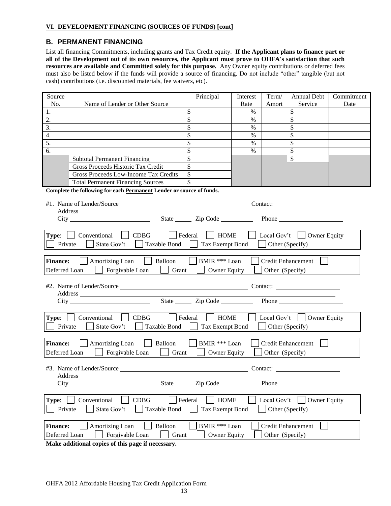#### **VI. DEVELOPMENT FINANCING (SOURCES OF FUNDS) [cont]**

## **B. PERMANENT FINANCING**

List all financing Commitments, including grants and Tax Credit equity. **If the Applicant plans to finance part or all of the Development out of its own resources, the Applicant must prove to OHFA's satisfaction that such resources are available and Committed solely for this purpose.** Any Owner equity contributions or deferred fees must also be listed below if the funds will provide a source of financing. Do not include "other" tangible (but not cash) contributions (i.e. discounted materials, fee waivers, etc).

| Source<br>No.                                                                        | Name of Lender or Other Source                                                                                                                                                                                                 | Principal             | Interest<br>Rate | Term/<br>Amort  | <b>Annual Debt</b><br>Service      | Commitment<br>Date |  |
|--------------------------------------------------------------------------------------|--------------------------------------------------------------------------------------------------------------------------------------------------------------------------------------------------------------------------------|-----------------------|------------------|-----------------|------------------------------------|--------------------|--|
| 1.                                                                                   |                                                                                                                                                                                                                                | \$                    | $\%$             |                 | \$                                 |                    |  |
| 2.                                                                                   |                                                                                                                                                                                                                                | \$                    | $\%$             |                 | \$                                 |                    |  |
| 3.                                                                                   |                                                                                                                                                                                                                                | \$                    | $\%$             |                 | \$                                 |                    |  |
| 4.                                                                                   |                                                                                                                                                                                                                                | \$                    | $\%$             |                 | \$                                 |                    |  |
| $\overline{5}$ .                                                                     |                                                                                                                                                                                                                                | \$                    | $\%$             |                 | $\mathcal{S}$                      |                    |  |
| 6.                                                                                   |                                                                                                                                                                                                                                | \$                    | $\%$             |                 | \$                                 |                    |  |
|                                                                                      | <b>Subtotal Permanent Financing</b>                                                                                                                                                                                            | \$                    |                  |                 | $\mathbb{S}$                       |                    |  |
|                                                                                      | Gross Proceeds Historic Tax Credit                                                                                                                                                                                             | $\mathcal{S}$         |                  |                 |                                    |                    |  |
|                                                                                      | Gross Proceeds Low-Income Tax Credits                                                                                                                                                                                          | \$                    |                  |                 |                                    |                    |  |
|                                                                                      | <b>Total Permanent Financing Sources</b>                                                                                                                                                                                       |                       |                  |                 |                                    |                    |  |
|                                                                                      | Complete the following for each Permanent Lender or source of funds.                                                                                                                                                           |                       |                  |                 |                                    |                    |  |
|                                                                                      |                                                                                                                                                                                                                                |                       |                  |                 |                                    |                    |  |
|                                                                                      |                                                                                                                                                                                                                                |                       |                  |                 |                                    |                    |  |
|                                                                                      |                                                                                                                                                                                                                                |                       |                  |                 |                                    |                    |  |
|                                                                                      | City the contract of the contract of the contract of the contract of the contract of the contract of the contract of the contract of the contract of the contract of the contract of the contract of the contract of the contr | State <u>Zip</u> Code |                  |                 |                                    |                    |  |
|                                                                                      |                                                                                                                                                                                                                                |                       |                  |                 |                                    |                    |  |
| Type:                                                                                | Conventional<br>$\Box$ CDBG<br>$\vert$   Federal                                                                                                                                                                               | <b>HOME</b>           |                  |                 | Local Gov't $\bigcup$ Owner Equity |                    |  |
| Private                                                                              | State Gov't<br><b>Taxable Bond</b>                                                                                                                                                                                             | Tax Exempt Bond       |                  |                 | Other (Specify)                    |                    |  |
|                                                                                      |                                                                                                                                                                                                                                |                       |                  |                 |                                    |                    |  |
| <b>Finance:</b>                                                                      | Amortizing Loan<br>Balloon                                                                                                                                                                                                     | BMIR *** Loan         |                  |                 | <b>Credit Enhancement</b>          |                    |  |
| Deferred Loan                                                                        | Forgivable Loan<br>Grant                                                                                                                                                                                                       | <b>Owner Equity</b>   |                  | Other (Specify) |                                    |                    |  |
|                                                                                      |                                                                                                                                                                                                                                |                       |                  |                 |                                    |                    |  |
|                                                                                      |                                                                                                                                                                                                                                |                       |                  |                 |                                    |                    |  |
|                                                                                      |                                                                                                                                                                                                                                |                       |                  |                 |                                    |                    |  |
|                                                                                      | State Zip Code                                                                                                                                                                                                                 |                       |                  |                 |                                    |                    |  |
|                                                                                      |                                                                                                                                                                                                                                |                       |                  |                 |                                    |                    |  |
| Type:                                                                                | $\vert$ CDBG<br>$\vert$   Federal<br>Conventional                                                                                                                                                                              | $\vert$ HOME          |                  |                 | Local Gov't $\vert$ Owner Equity   |                    |  |
| Private                                                                              | State Gov't<br>Taxable Bond                                                                                                                                                                                                    | Tax Exempt Bond       |                  |                 | Other (Specify)                    |                    |  |
|                                                                                      |                                                                                                                                                                                                                                |                       |                  |                 |                                    |                    |  |
| <b>Finance:</b>                                                                      | Amortizing Loan<br>Balloon                                                                                                                                                                                                     | BMIR *** Loan         |                  |                 | <b>Credit Enhancement</b>          |                    |  |
| Deferred Loan                                                                        | Forgivable Loan<br>Grant                                                                                                                                                                                                       | <b>Owner Equity</b>   |                  | Other (Specify) |                                    |                    |  |
|                                                                                      |                                                                                                                                                                                                                                |                       |                  |                 |                                    |                    |  |
|                                                                                      | #3. Name of Lender/Source                                                                                                                                                                                                      |                       |                  |                 |                                    |                    |  |
| Contact:<br>Address                                                                  |                                                                                                                                                                                                                                |                       |                  |                 |                                    |                    |  |
| State Zip Code<br>Phone                                                              |                                                                                                                                                                                                                                |                       |                  |                 |                                    |                    |  |
|                                                                                      |                                                                                                                                                                                                                                |                       |                  |                 |                                    |                    |  |
| Type:                                                                                | CDBG<br>Conventional                                                                                                                                                                                                           | Federal               |                  |                 |                                    |                    |  |
| <b>HOME</b><br><b>Owner Equity</b><br>Local Gov't                                    |                                                                                                                                                                                                                                |                       |                  |                 |                                    |                    |  |
| Private<br>State Gov't<br>Taxable Bond<br>Tax Exempt Bond<br>Other (Specify)         |                                                                                                                                                                                                                                |                       |                  |                 |                                    |                    |  |
|                                                                                      |                                                                                                                                                                                                                                |                       |                  |                 |                                    |                    |  |
| BMIR *** Loan<br><b>Finance:</b><br>Amortizing Loan<br>Balloon<br>Credit Enhancement |                                                                                                                                                                                                                                |                       |                  |                 |                                    |                    |  |
| Other (Specify)<br>Deferred Loan<br>Forgivable Loan<br>Grant<br><b>Owner Equity</b>  |                                                                                                                                                                                                                                |                       |                  |                 |                                    |                    |  |

**Make additional copies of this page if necessary.**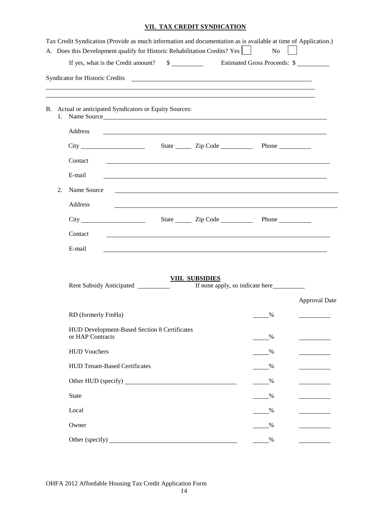## **VII. TAX CREDIT SYNDICATION**

|    |    | Tax Credit Syndication (Provide as much information and documentation as is available at time of Application.) |                                                                                                                      |                                 |                      |
|----|----|----------------------------------------------------------------------------------------------------------------|----------------------------------------------------------------------------------------------------------------------|---------------------------------|----------------------|
|    |    | A. Does this Development qualify for Historic Rehabilitation Credits? Yes                                      |                                                                                                                      | No                              |                      |
|    |    |                                                                                                                |                                                                                                                      |                                 |                      |
|    |    |                                                                                                                |                                                                                                                      |                                 |                      |
|    |    | <u> 1989 - Johann Stoff, amerikansk politiker (* 1908)</u>                                                     |                                                                                                                      |                                 |                      |
| В. |    | Actual or anticipated Syndicators or Equity Sources:<br>1. Name Source                                         |                                                                                                                      |                                 |                      |
|    |    | Address                                                                                                        | <u> 1989 - Johann Stoff, deutscher Stoffen und der Stoffen und der Stoffen und der Stoffen und der Stoffen und d</u> |                                 |                      |
|    |    |                                                                                                                |                                                                                                                      |                                 |                      |
|    |    | Contact                                                                                                        | <u> 1989 - Johann Stoff, amerikansk politiker (d. 1989)</u>                                                          |                                 |                      |
|    |    | E-mail                                                                                                         | <u> 1989 - Johann Stein, marwolaethau a chwaraethau a chwaraethau a chwaraethau a chwaraethau a chwaraethau a ch</u> |                                 |                      |
|    | 2. | Name Source                                                                                                    | <u> 1989 - Johann Stoff, amerikansk politiker (* 1908)</u>                                                           |                                 |                      |
|    |    | Address                                                                                                        |                                                                                                                      |                                 |                      |
|    |    | <b>City</b>                                                                                                    | State <u>Zip Code</u> Phone                                                                                          |                                 |                      |
|    |    | Contact                                                                                                        |                                                                                                                      |                                 |                      |
|    |    | E-mail                                                                                                         | <u> 1989 - Johann Stein, mars an deus Amerikaansk kommunister (* 1958)</u>                                           |                                 |                      |
|    |    |                                                                                                                |                                                                                                                      |                                 |                      |
|    |    |                                                                                                                |                                                                                                                      |                                 |                      |
|    |    | Rent Subsidy Anticipated _________                                                                             |                                                                                                                      | If none apply, so indicate here |                      |
|    |    |                                                                                                                |                                                                                                                      |                                 | <b>Approval Date</b> |
|    |    | RD (formerly FmHa)                                                                                             |                                                                                                                      | $\%$                            |                      |
|    |    | HUD Development-Based Section 8 Certificates                                                                   |                                                                                                                      |                                 |                      |
|    |    | or HAP Contracts                                                                                               |                                                                                                                      | %                               |                      |
|    |    | <b>HUD Vouchers</b>                                                                                            |                                                                                                                      | %                               |                      |
|    |    | <b>HUD Tenant-Based Certificates</b>                                                                           |                                                                                                                      | %                               |                      |
|    |    |                                                                                                                |                                                                                                                      | $\frac{0}{2}$                   |                      |
|    |    | State                                                                                                          |                                                                                                                      | %                               |                      |
|    |    | Local                                                                                                          |                                                                                                                      | $\frac{0}{2}$                   |                      |
|    |    | Owner                                                                                                          |                                                                                                                      | %                               |                      |
|    |    | Other (specify)                                                                                                |                                                                                                                      | $\%$                            |                      |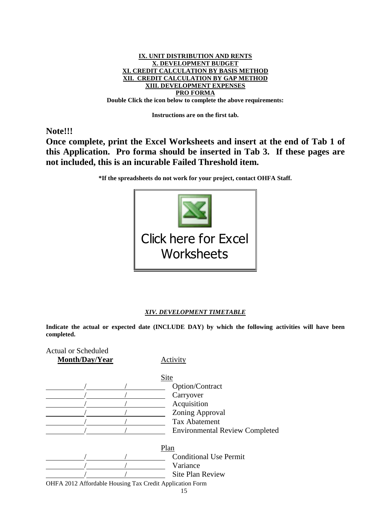

**Instructions are on the first tab.**

**Note!!!**

**Once complete, print the Excel Worksheets and insert at the end of Tab 1 of this Application. Pro forma should be inserted in Tab 3. If these pages are not included, this is an incurable Failed Threshold item.**

**\*If the spreadsheets do not work for your project, contact OHFA Staff.**



#### *XIV. DEVELOPMENT TIMETABLE*

**Indicate the actual or expected date (INCLUDE DAY) by which the following activities will have been completed.** 

| <b>Actual or Scheduled</b><br><b>Month/Day/Year</b>      | Activity                              |
|----------------------------------------------------------|---------------------------------------|
|                                                          |                                       |
|                                                          | Site                                  |
|                                                          | Option/Contract                       |
|                                                          | Carryover                             |
|                                                          | Acquisition                           |
|                                                          | <b>Zoning Approval</b>                |
|                                                          | <b>Tax Abatement</b>                  |
|                                                          | <b>Environmental Review Completed</b> |
|                                                          | Plan                                  |
|                                                          | <b>Conditional Use Permit</b>         |
|                                                          | Variance                              |
|                                                          | Site Plan Review                      |
| OHFA 2012 Affordable Housing Tax Credit Application Form | 15                                    |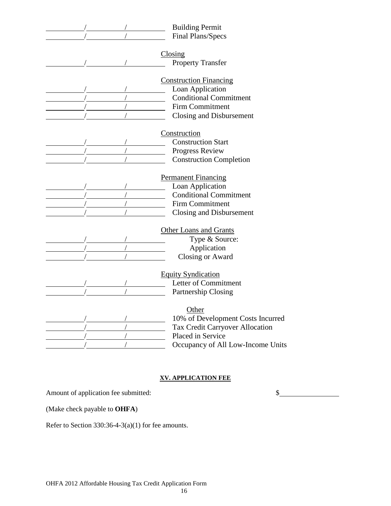| <b>Building Permit</b>                            |
|---------------------------------------------------|
| Final Plans/Specs                                 |
|                                                   |
| Closing                                           |
| Property Transfer                                 |
|                                                   |
| <b>Construction Financing</b><br>Loan Application |
| <b>Conditional Commitment</b>                     |
| <b>Firm Commitment</b>                            |
| Closing and Disbursement                          |
|                                                   |
| Construction                                      |
| <b>Construction Start</b>                         |
| Progress Review                                   |
| <b>Construction Completion</b>                    |
|                                                   |
| <b>Permanent Financing</b>                        |
| Loan Application                                  |
| <b>Conditional Commitment</b>                     |
| <b>Firm Commitment</b>                            |
| Closing and Disbursement                          |
|                                                   |
| <b>Other Loans and Grants</b>                     |
| Type & Source:                                    |
| Application                                       |
| Closing or Award                                  |
|                                                   |
| <b>Equity Syndication</b>                         |
| <b>Letter of Commitment</b>                       |
| Partnership Closing                               |
|                                                   |
| Other                                             |
| 10% of Development Costs Incurred                 |
| Tax Credit Carryover Allocation                   |
| Placed in Service                                 |
| Occupancy of All Low-Income Units                 |

## **XV. APPLICATION FEE**

Amount of application fee submitted:  $\qquad \qquad$ 

(Make check payable to **OHFA**)

Refer to Section 330:36-4-3(a)(1) for fee amounts.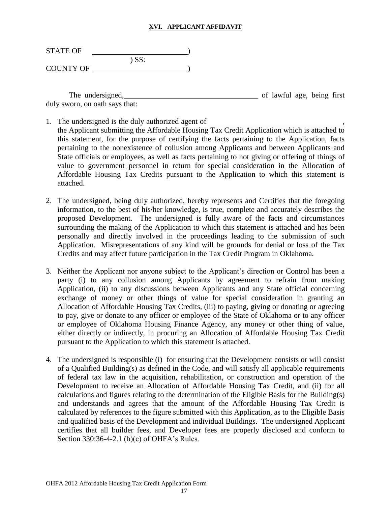#### **XVI. APPLICANT AFFIDAVIT**

| <b>STATE OF</b>  |         |  |
|------------------|---------|--|
|                  | $)$ SS: |  |
| <b>COUNTY OF</b> |         |  |

The undersigned, the undersigned, the undersigned, the undersigned, the undersident of lawful age, being first duly sworn, on oath says that:

- 1. The undersigned is the duly authorized agent of the Applicant submitting the Affordable Housing Tax Credit Application which is attached to this statement, for the purpose of certifying the facts pertaining to the Application, facts pertaining to the nonexistence of collusion among Applicants and between Applicants and State officials or employees, as well as facts pertaining to not giving or offering of things of value to government personnel in return for special consideration in the Allocation of Affordable Housing Tax Credits pursuant to the Application to which this statement is attached.
- 2. The undersigned, being duly authorized, hereby represents and Certifies that the foregoing information, to the best of his/her knowledge, is true, complete and accurately describes the proposed Development. The undersigned is fully aware of the facts and circumstances surrounding the making of the Application to which this statement is attached and has been personally and directly involved in the proceedings leading to the submission of such Application. Misrepresentations of any kind will be grounds for denial or loss of the Tax Credits and may affect future participation in the Tax Credit Program in Oklahoma.
- 3. Neither the Applicant nor anyone subject to the Applicant's direction or Control has been a party (i) to any collusion among Applicants by agreement to refrain from making Application, (ii) to any discussions between Applicants and any State official concerning exchange of money or other things of value for special consideration in granting an Allocation of Affordable Housing Tax Credits, (iii) to paying, giving or donating or agreeing to pay, give or donate to any officer or employee of the State of Oklahoma or to any officer or employee of Oklahoma Housing Finance Agency, any money or other thing of value, either directly or indirectly, in procuring an Allocation of Affordable Housing Tax Credit pursuant to the Application to which this statement is attached.
- 4. The undersigned is responsible (i) for ensuring that the Development consists or will consist of a Qualified Building(s) as defined in the Code, and will satisfy all applicable requirements of federal tax law in the acquisition, rehabilitation, or construction and operation of the Development to receive an Allocation of Affordable Housing Tax Credit, and (ii) for all calculations and figures relating to the determination of the Eligible Basis for the Building(s) and understands and agrees that the amount of the Affordable Housing Tax Credit is calculated by references to the figure submitted with this Application, as to the Eligible Basis and qualified basis of the Development and individual Buildings. The undersigned Applicant certifies that all builder fees, and Developer fees are properly disclosed and conform to Section 330:36-4-2.1 (b)(c) of OHFA's Rules.